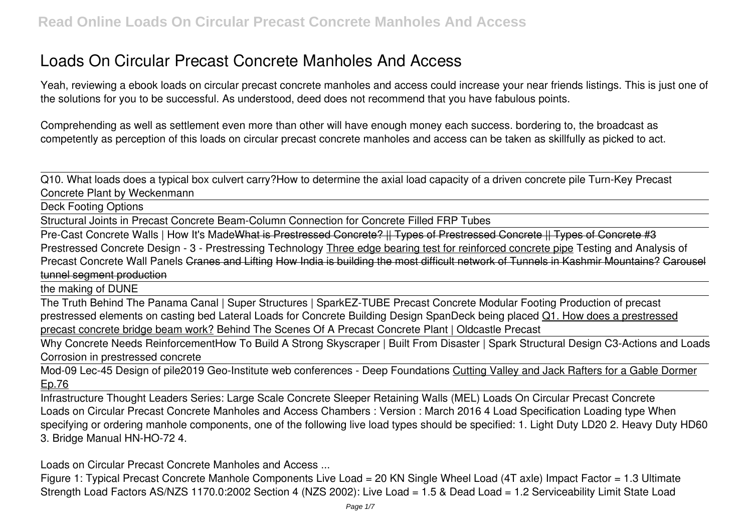# **Loads On Circular Precast Concrete Manholes And Access**

Yeah, reviewing a ebook **loads on circular precast concrete manholes and access** could increase your near friends listings. This is just one of the solutions for you to be successful. As understood, deed does not recommend that you have fabulous points.

Comprehending as well as settlement even more than other will have enough money each success. bordering to, the broadcast as competently as perception of this loads on circular precast concrete manholes and access can be taken as skillfully as picked to act.

Q10. What loads does a typical box culvert carry?**How to determine the axial load capacity of a driven concrete pile** Turn-Key Precast Concrete Plant by Weckenmann

Deck Footing Options

Structural Joints in Precast Concrete Beam-Column Connection for Concrete Filled FRP Tubes

Pre-Cast Concrete Walls | How It's MadeWhat is Prestressed Concrete? || Types of Prestressed Concrete || Types of Concrete #3 *Prestressed Concrete Design - 3 - Prestressing Technology* Three edge bearing test for reinforced concrete pipe **Testing and Analysis of Precast Concrete Wall Panels** Cranes and Lifting How India is building the most difficult network of Tunnels in Kashmir Mountains? Carousel tunnel segment production

the making of DUNE

The Truth Behind The Panama Canal | Super Structures | Spark*EZ-TUBE Precast Concrete Modular Footing* Production of precast prestressed elements on casting bed Lateral Loads for Concrete Building Design **SpanDeck being placed** Q1. How does a prestressed precast concrete bridge beam work? *Behind The Scenes Of A Precast Concrete Plant | Oldcastle Precast*

Why Concrete Needs Reinforcement**How To Build A Strong Skyscraper | Built From Disaster | Spark Structural Design C3-Actions and Loads** *Corrosion in prestressed concrete*

Mod-09 Lec-45 Design of pile*2019 Geo-Institute web conferences - Deep Foundations* Cutting Valley and Jack Rafters for a Gable Dormer Ep.76

Infrastructure Thought Leaders Series: Large Scale Concrete Sleeper Retaining Walls (MEL) Loads On Circular Precast Concrete Loads on Circular Precast Concrete Manholes and Access Chambers : Version : March 2016 4 Load Specification Loading type When specifying or ordering manhole components, one of the following live load types should be specified: 1. Light Duty LD20 2. Heavy Duty HD60 3. Bridge Manual HN-HO-72 4.

Loads on Circular Precast Concrete Manholes and Access ...

Figure 1: Typical Precast Concrete Manhole Components Live Load = 20 KN Single Wheel Load (4T axle) Impact Factor = 1.3 Ultimate Strength Load Factors AS/NZS 1170.0:2002 Section 4 (NZS 2002): Live Load = 1.5 & Dead Load = 1.2 Serviceability Limit State Load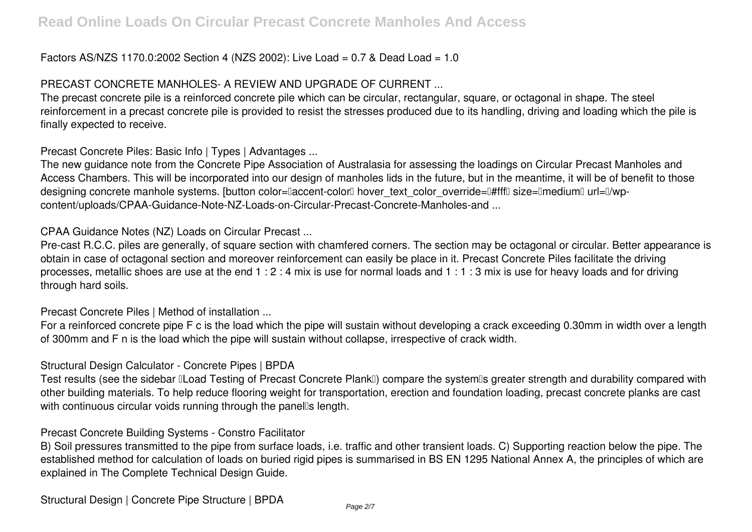## Factors AS/NZS 1170.0:2002 Section 4 (NZS 2002): Live Load = 0.7 & Dead Load = 1.0

# PRECAST CONCRETE MANHOLES- A REVIEW AND UPGRADE OF CURRENT ...

The precast concrete pile is a reinforced concrete pile which can be circular, rectangular, square, or octagonal in shape. The steel reinforcement in a precast concrete pile is provided to resist the stresses produced due to its handling, driving and loading which the pile is finally expected to receive.

Precast Concrete Piles: Basic Info | Types | Advantages ...

The new guidance note from the Concrete Pipe Association of Australasia for assessing the loadings on Circular Precast Manholes and Access Chambers. This will be incorporated into our design of manholes lids in the future, but in the meantime, it will be of benefit to those designing concrete manhole systems. [button color="accent-color" hover text color override="#fff" size="medium" url="/wpcontent/uploads/CPAA-Guidance-Note-NZ-Loads-on-Circular-Precast-Concrete-Manholes-and ...

## CPAA Guidance Notes (NZ) Loads on Circular Precast ...

Pre-cast R.C.C. piles are generally, of square section with chamfered corners. The section may be octagonal or circular. Better appearance is obtain in case of octagonal section and moreover reinforcement can easily be place in it. Precast Concrete Piles facilitate the driving processes, metallic shoes are use at the end 1 : 2 : 4 mix is use for normal loads and 1 : 1 : 3 mix is use for heavy loads and for driving through hard soils.

Precast Concrete Piles | Method of installation ...

For a reinforced concrete pipe F c is the load which the pipe will sustain without developing a crack exceeding 0.30mm in width over a length of 300mm and F n is the load which the pipe will sustain without collapse, irrespective of crack width.

## Structural Design Calculator - Concrete Pipes | BPDA

Test results (see the sidebar ILoad Testing of Precast Concrete PlankI) compare the systemIs greater strength and durability compared with other building materials. To help reduce flooring weight for transportation, erection and foundation loading, precast concrete planks are cast with continuous circular voids running through the panells length.

## Precast Concrete Building Systems - Constro Facilitator

B) Soil pressures transmitted to the pipe from surface loads, i.e. traffic and other transient loads. C) Supporting reaction below the pipe. The established method for calculation of loads on buried rigid pipes is summarised in BS EN 1295 National Annex A, the principles of which are explained in The Complete Technical Design Guide.

Structural Design | Concrete Pipe Structure | BPDA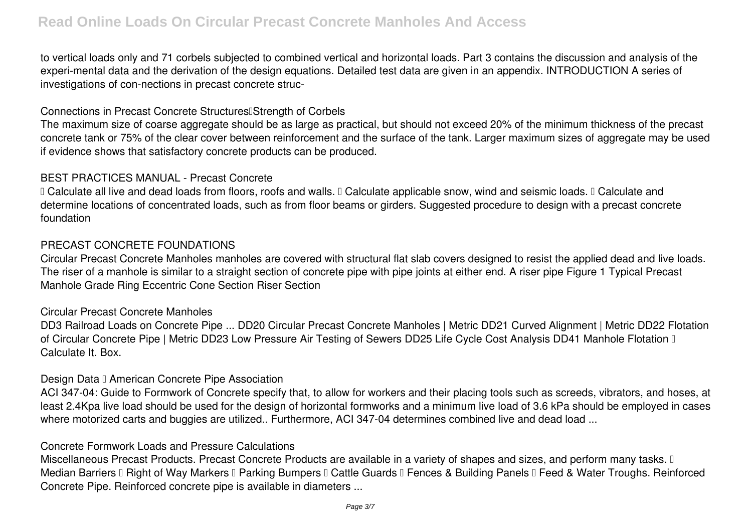to vertical loads only and 71 corbels subjected to combined vertical and horizontal loads. Part 3 contains the discussion and analysis of the experi-mental data and the derivation of the design equations. Detailed test data are given in an appendix. INTRODUCTION A series of investigations of con-nections in precast concrete struc-

#### Connections in Precast Concrete Structures<sup>[Strength of Corbels]</sup>

The maximum size of coarse aggregate should be as large as practical, but should not exceed 20% of the minimum thickness of the precast concrete tank or 75% of the clear cover between reinforcement and the surface of the tank. Larger maximum sizes of aggregate may be used if evidence shows that satisfactory concrete products can be produced.

#### BEST PRACTICES MANUAL - Precast Concrete

I Calculate all live and dead loads from floors, roofs and walls. I Calculate applicable snow, wind and seismic loads. I Calculate and determine locations of concentrated loads, such as from floor beams or girders. Suggested procedure to design with a precast concrete foundation

#### PRECAST CONCRETE FOUNDATIONS

Circular Precast Concrete Manholes manholes are covered with structural flat slab covers designed to resist the applied dead and live loads. The riser of a manhole is similar to a straight section of concrete pipe with pipe joints at either end. A riser pipe Figure 1 Typical Precast Manhole Grade Ring Eccentric Cone Section Riser Section

#### Circular Precast Concrete Manholes

DD3 Railroad Loads on Concrete Pipe ... DD20 Circular Precast Concrete Manholes | Metric DD21 Curved Alignment | Metric DD22 Flotation of Circular Concrete Pipe | Metric DD23 Low Pressure Air Testing of Sewers DD25 Life Cycle Cost Analysis DD41 Manhole Flotation II Calculate It. Box.

#### Design Data I American Concrete Pipe Association

ACI 347-04: Guide to Formwork of Concrete specify that, to allow for workers and their placing tools such as screeds, vibrators, and hoses, at least 2.4Kpa live load should be used for the design of horizontal formworks and a minimum live load of 3.6 kPa should be employed in cases where motorized carts and buggies are utilized.. Furthermore, ACI 347-04 determines combined live and dead load ...

#### Concrete Formwork Loads and Pressure Calculations

Miscellaneous Precast Products. Precast Concrete Products are available in a variety of shapes and sizes, and perform many tasks. I Median Barriers II Right of Way Markers II Parking Bumpers II Cattle Guards II Fences & Building Panels II Feed & Water Troughs. Reinforced Concrete Pipe. Reinforced concrete pipe is available in diameters ...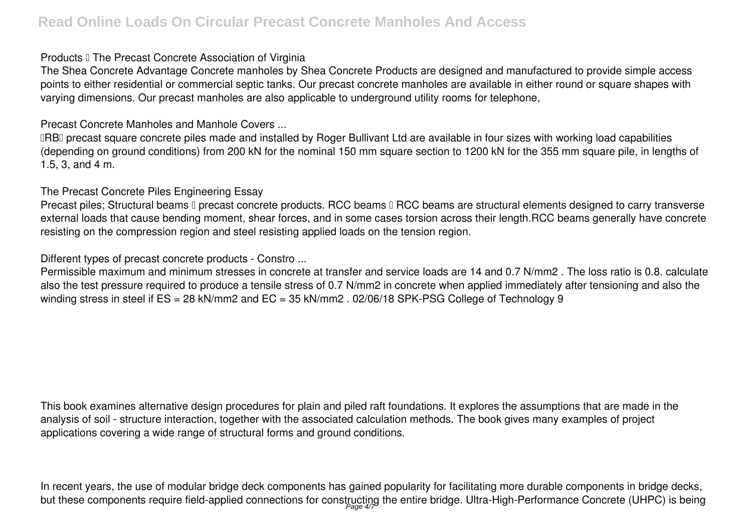#### **Products II The Precast Concrete Association of Virginia**

The Shea Concrete Advantage Concrete manholes by Shea Concrete Products are designed and manufactured to provide simple access points to either residential or commercial septic tanks. Our precast concrete manholes are available in either round or square shapes with varying dimensions. Our precast manholes are also applicable to underground utility rooms for telephone,

# Precast Concrete Manholes and Manhole Covers ...

**IRBI** precast square concrete piles made and installed by Roger Bullivant Ltd are available in four sizes with working load capabilities (depending on ground conditions) from 200 kN for the nominal 150 mm square section to 1200 kN for the 355 mm square pile, in lengths of 1.5, 3, and 4 m.

# The Precast Concrete Piles Engineering Essay

Precast piles; Structural beams II precast concrete products. RCC beams II RCC beams are structural elements designed to carry transverse external loads that cause bending moment, shear forces, and in some cases torsion across their length.RCC beams generally have concrete resisting on the compression region and steel resisting applied loads on the tension region.

# Different types of precast concrete products - Constro ...

Permissible maximum and minimum stresses in concrete at transfer and service loads are 14 and 0.7 N/mm2 . The loss ratio is 0.8. calculate also the test pressure required to produce a tensile stress of 0.7 N/mm2 in concrete when applied immediately after tensioning and also the winding stress in steel if ES = 28 kN/mm2 and EC = 35 kN/mm2 . 02/06/18 SPK-PSG College of Technology 9

This book examines alternative design procedures for plain and piled raft foundations. It explores the assumptions that are made in the analysis of soil - structure interaction, together with the associated calculation methods. The book gives many examples of project applications covering a wide range of structural forms and ground conditions.

In recent years, the use of modular bridge deck components has gained popularity for facilitating more durable components in bridge decks, but these components require field-applied connections for constructing the entire bridge. Ultra-High-Performance Concrete (UHPC) is being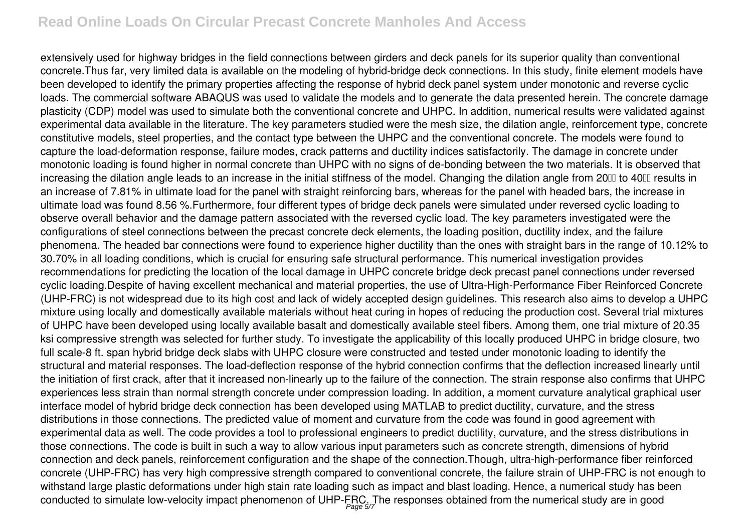# **Read Online Loads On Circular Precast Concrete Manholes And Access**

extensively used for highway bridges in the field connections between girders and deck panels for its superior quality than conventional concrete.Thus far, very limited data is available on the modeling of hybrid-bridge deck connections. In this study, finite element models have been developed to identify the primary properties affecting the response of hybrid deck panel system under monotonic and reverse cyclic loads. The commercial software ABAQUS was used to validate the models and to generate the data presented herein. The concrete damage plasticity (CDP) model was used to simulate both the conventional concrete and UHPC. In addition, numerical results were validated against experimental data available in the literature. The key parameters studied were the mesh size, the dilation angle, reinforcement type, concrete constitutive models, steel properties, and the contact type between the UHPC and the conventional concrete. The models were found to capture the load-deformation response, failure modes, crack patterns and ductility indices satisfactorily. The damage in concrete under monotonic loading is found higher in normal concrete than UHPC with no signs of de-bonding between the two materials. It is observed that increasing the dilation angle leads to an increase in the initial stiffness of the model. Changing the dilation angle from 20₪ to 40㎜ results in an increase of 7.81% in ultimate load for the panel with straight reinforcing bars, whereas for the panel with headed bars, the increase in ultimate load was found 8.56 %.Furthermore, four different types of bridge deck panels were simulated under reversed cyclic loading to observe overall behavior and the damage pattern associated with the reversed cyclic load. The key parameters investigated were the configurations of steel connections between the precast concrete deck elements, the loading position, ductility index, and the failure phenomena. The headed bar connections were found to experience higher ductility than the ones with straight bars in the range of 10.12% to 30.70% in all loading conditions, which is crucial for ensuring safe structural performance. This numerical investigation provides recommendations for predicting the location of the local damage in UHPC concrete bridge deck precast panel connections under reversed cyclic loading.Despite of having excellent mechanical and material properties, the use of Ultra-High-Performance Fiber Reinforced Concrete (UHP-FRC) is not widespread due to its high cost and lack of widely accepted design guidelines. This research also aims to develop a UHPC mixture using locally and domestically available materials without heat curing in hopes of reducing the production cost. Several trial mixtures of UHPC have been developed using locally available basalt and domestically available steel fibers. Among them, one trial mixture of 20.35 ksi compressive strength was selected for further study. To investigate the applicability of this locally produced UHPC in bridge closure, two full scale-8 ft. span hybrid bridge deck slabs with UHPC closure were constructed and tested under monotonic loading to identify the structural and material responses. The load-deflection response of the hybrid connection confirms that the deflection increased linearly until the initiation of first crack, after that it increased non-linearly up to the failure of the connection. The strain response also confirms that UHPC experiences less strain than normal strength concrete under compression loading. In addition, a moment curvature analytical graphical user interface model of hybrid bridge deck connection has been developed using MATLAB to predict ductility, curvature, and the stress distributions in those connections. The predicted value of moment and curvature from the code was found in good agreement with experimental data as well. The code provides a tool to professional engineers to predict ductility, curvature, and the stress distributions in those connections. The code is built in such a way to allow various input parameters such as concrete strength, dimensions of hybrid connection and deck panels, reinforcement configuration and the shape of the connection.Though, ultra-high-performance fiber reinforced concrete (UHP-FRC) has very high compressive strength compared to conventional concrete, the failure strain of UHP-FRC is not enough to withstand large plastic deformations under high stain rate loading such as impact and blast loading. Hence, a numerical study has been conducted to simulate low-velocity impact phenomenon of UHP-FRC. The responses obtained from the numerical study are in good Page 5/7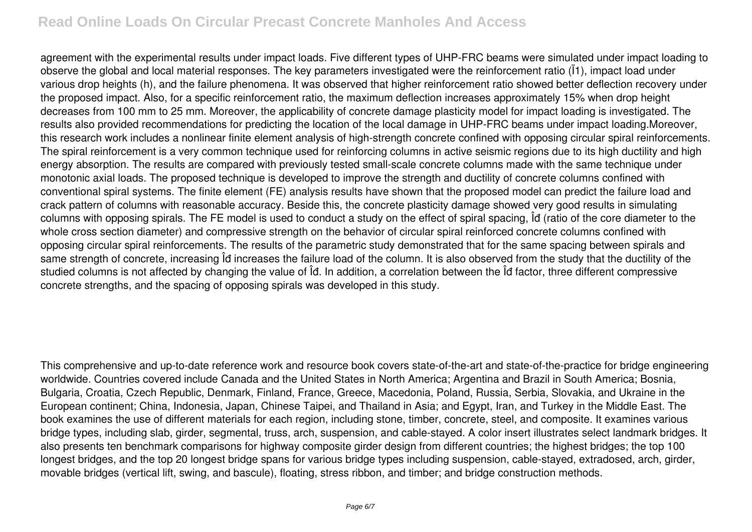# **Read Online Loads On Circular Precast Concrete Manholes And Access**

agreement with the experimental results under impact loads. Five different types of UHP-FRC beams were simulated under impact loading to observe the global and local material responses. The key parameters investigated were the reinforcement ratio (Ï1), impact load under various drop heights (h), and the failure phenomena. It was observed that higher reinforcement ratio showed better deflection recovery under the proposed impact. Also, for a specific reinforcement ratio, the maximum deflection increases approximately 15% when drop height decreases from 100 mm to 25 mm. Moreover, the applicability of concrete damage plasticity model for impact loading is investigated. The results also provided recommendations for predicting the location of the local damage in UHP-FRC beams under impact loading.Moreover, this research work includes a nonlinear finite element analysis of high-strength concrete confined with opposing circular spiral reinforcements. The spiral reinforcement is a very common technique used for reinforcing columns in active seismic regions due to its high ductility and high energy absorption. The results are compared with previously tested small-scale concrete columns made with the same technique under monotonic axial loads. The proposed technique is developed to improve the strength and ductility of concrete columns confined with conventional spiral systems. The finite element (FE) analysis results have shown that the proposed model can predict the failure load and crack pattern of columns with reasonable accuracy. Beside this, the concrete plasticity damage showed very good results in simulating columns with opposing spirals. The FE model is used to conduct a study on the effect of spiral spacing, Îđ (ratio of the core diameter to the whole cross section diameter) and compressive strength on the behavior of circular spiral reinforced concrete columns confined with opposing circular spiral reinforcements. The results of the parametric study demonstrated that for the same spacing between spirals and same strength of concrete, increasing Îđ increases the failure load of the column. It is also observed from the study that the ductility of the studied columns is not affected by changing the value of Îđ. In addition, a correlation between the Îđ factor, three different compressive concrete strengths, and the spacing of opposing spirals was developed in this study.

This comprehensive and up-to-date reference work and resource book covers state-of-the-art and state-of-the-practice for bridge engineering worldwide. Countries covered include Canada and the United States in North America; Argentina and Brazil in South America; Bosnia, Bulgaria, Croatia, Czech Republic, Denmark, Finland, France, Greece, Macedonia, Poland, Russia, Serbia, Slovakia, and Ukraine in the European continent; China, Indonesia, Japan, Chinese Taipei, and Thailand in Asia; and Egypt, Iran, and Turkey in the Middle East. The book examines the use of different materials for each region, including stone, timber, concrete, steel, and composite. It examines various bridge types, including slab, girder, segmental, truss, arch, suspension, and cable-stayed. A color insert illustrates select landmark bridges. It also presents ten benchmark comparisons for highway composite girder design from different countries; the highest bridges; the top 100 longest bridges, and the top 20 longest bridge spans for various bridge types including suspension, cable-stayed, extradosed, arch, girder, movable bridges (vertical lift, swing, and bascule), floating, stress ribbon, and timber; and bridge construction methods.